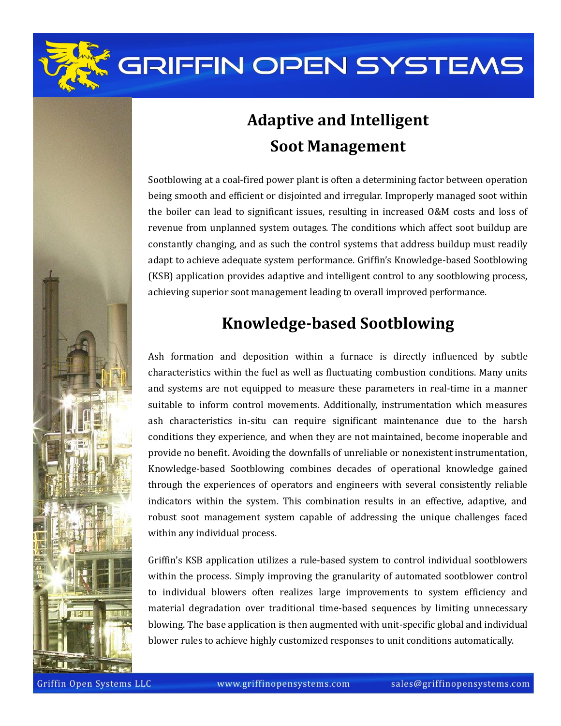

## **Adaptive and Intelligent Soot Management**

Sootblowing at a coal-fired power plant is often a determining factor between operation being smooth and efficient or disjointed and irregular. Improperly managed soot within the boiler can lead to significant issues, resulting in increased O&M costs and loss of revenue from unplanned system outages. The conditions which affect soot buildup are constantly changing, and as such the control systems that address buildup must readily adapt to achieve adequate system performance. Griffin's Knowledge-based Sootblowing (KSB) application provides adaptive and intelligent control to any sootblowing process, achieving superior soot management leading to overall improved performance.

### **Knowledge-based Sootblowing**

Ash formation and deposition within a furnace is directly influenced by subtle characteristics within the fuel as well as fluctuating combustion conditions. Many units and systems are not equipped to measure these parameters in real-time in a manner suitable to inform control movements. Additionally, instrumentation which measures ash characteristics in-situ can require significant maintenance due to the harsh conditions they experience, and when they are not maintained, become inoperable and provide no benefit. Avoiding the downfalls of unreliable or nonexistent instrumentation, Knowledge-based Sootblowing combines decades of operational knowledge gained through the experiences of operators and engineers with several consistently reliable indicators within the system. This combination results in an effective, adaptive, and robust soot management system capable of addressing the unique challenges faced within any individual process.

Griffin's KSB application utilizes a rule-based system to control individual sootblowers within the process. Simply improving the granularity of automated sootblower control to individual blowers often realizes large improvements to system efficiency and material degradation over traditional time-based sequences by limiting unnecessary blowing. The base application is then augmented with unit-specific global and individual blower rules to achieve highly customized responses to unit conditions automatically.

Griffin Open Systems LLC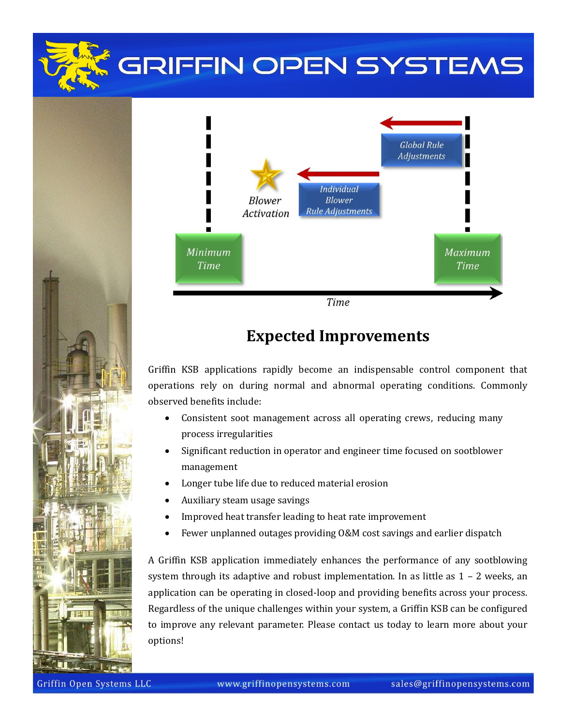

#### **Expected Improvements**

Griffin KSB applications rapidly become an indispensable control component that operations rely on during normal and abnormal operating conditions. Commonly observed benefits include:

- Consistent soot management across all operating crews, reducing many process irregularities
- Significant reduction in operator and engineer time focused on sootblower management
- Longer tube life due to reduced material erosion
- Auxiliary steam usage savings
- Improved heat transfer leading to heat rate improvement
- Fewer unplanned outages providing O&M cost savings and earlier dispatch

A Griffin KSB application immediately enhances the performance of any sootblowing system through its adaptive and robust implementation. In as little as  $1 - 2$  weeks, an application can be operating in closed-loop and providing benefits across your process. Regardless of the unique challenges within your system, a Griffin KSB can be configured to improve any relevant parameter. Please contact us today to learn more about your options!

Griffin Open Systems LLC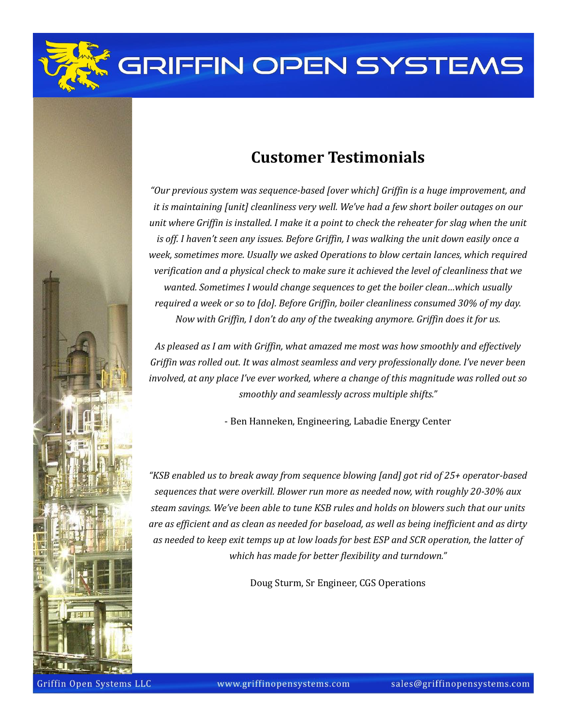

*unit where Griffin is installed. I make it a point to check the reheater for slag when the unit is off. I haven't seen any issues. Before Griffin, I was walking the unit down easily once a week, sometimes more. Usually we asked Operations to blow certain lances, which required verification and a physical check to make sure it achieved the level of cleanliness that we wanted. Sometimes I would change sequences to get the boiler clean…which usually required a week or so to [do]. Before Griffin, boiler cleanliness consumed 30% of my day. Now with Griffin, I don't do any of the tweaking anymore. Griffin does it for us.*

*As pleased as I am with Griffin, what amazed me most was how smoothly and effectively Griffin was rolled out. It was almost seamless and very professionally done. I've never been involved, at any place I've ever worked, where a change of this magnitude was rolled out so smoothly and seamlessly across multiple shifts."*

- Ben Hanneken, Engineering, Labadie Energy Center

*"KSB enabled us to break away from sequence blowing [and] got rid of 25+ operator-based sequences that were overkill. Blower run more as needed now, with roughly 20-30% aux steam savings. We've been able to tune KSB rules and holds on blowers such that our units are as efficient and as clean as needed for baseload, as well as being inefficient and as dirty as needed to keep exit temps up at low loads for best ESP and SCR operation, the latter of which has made for better flexibility and turndown."*

Doug Sturm, Sr Engineer, CGS Operations